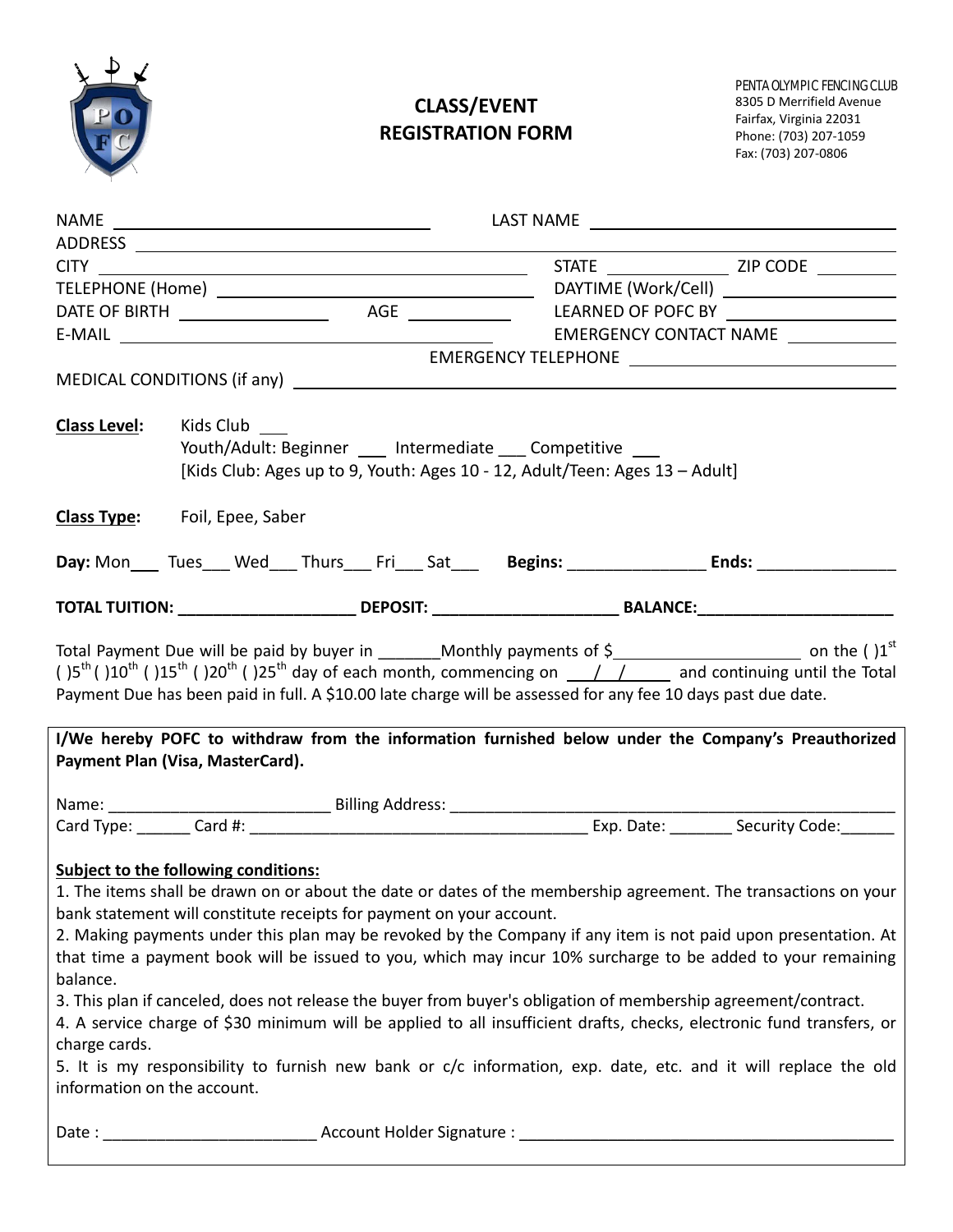

# **CLASS/EVENT REGISTRATION FORM**

| <b>Class Level:</b>                                                                              | Kids Club<br>Youth/Adult: Beginner ____ Intermediate Competitive ___<br>[Kids Club: Ages up to 9, Youth: Ages 10 - 12, Adult/Teen: Ages 13 - Adult] |                                                                      |  |                                          |  |                                                                                                                                                                                                                                                                                                                                                                                                                                                                                                                                                                                                                                                                                                               |  |
|--------------------------------------------------------------------------------------------------|-----------------------------------------------------------------------------------------------------------------------------------------------------|----------------------------------------------------------------------|--|------------------------------------------|--|---------------------------------------------------------------------------------------------------------------------------------------------------------------------------------------------------------------------------------------------------------------------------------------------------------------------------------------------------------------------------------------------------------------------------------------------------------------------------------------------------------------------------------------------------------------------------------------------------------------------------------------------------------------------------------------------------------------|--|
|                                                                                                  |                                                                                                                                                     |                                                                      |  |                                          |  |                                                                                                                                                                                                                                                                                                                                                                                                                                                                                                                                                                                                                                                                                                               |  |
| <b>Class Type:</b> Foil, Epee, Saber                                                             |                                                                                                                                                     |                                                                      |  |                                          |  |                                                                                                                                                                                                                                                                                                                                                                                                                                                                                                                                                                                                                                                                                                               |  |
|                                                                                                  |                                                                                                                                                     |                                                                      |  |                                          |  | Day: Mon_____ Tues____ Wed____ Thurs____ Fri____ Sat________Begins: ________________Bnds: ___________________                                                                                                                                                                                                                                                                                                                                                                                                                                                                                                                                                                                                 |  |
|                                                                                                  |                                                                                                                                                     |                                                                      |  |                                          |  | TOTAL TUITION: ____________________________DEPOSIT: _____________________________BALANCE:_____________________                                                                                                                                                                                                                                                                                                                                                                                                                                                                                                                                                                                                |  |
| Payment Plan (Visa, MasterCard).                                                                 |                                                                                                                                                     |                                                                      |  |                                          |  | Payment Due has been paid in full. A \$10.00 late charge will be assessed for any fee 10 days past due date.<br>I/We hereby POFC to withdraw from the information furnished below under the Company's Preauthorized                                                                                                                                                                                                                                                                                                                                                                                                                                                                                           |  |
|                                                                                                  |                                                                                                                                                     |                                                                      |  |                                          |  |                                                                                                                                                                                                                                                                                                                                                                                                                                                                                                                                                                                                                                                                                                               |  |
|                                                                                                  |                                                                                                                                                     |                                                                      |  |                                          |  |                                                                                                                                                                                                                                                                                                                                                                                                                                                                                                                                                                                                                                                                                                               |  |
| Subject to the following conditions:<br>balance.<br>charge cards.<br>information on the account. |                                                                                                                                                     | bank statement will constitute receipts for payment on your account. |  |                                          |  | 1. The items shall be drawn on or about the date or dates of the membership agreement. The transactions on your<br>2. Making payments under this plan may be revoked by the Company if any item is not paid upon presentation. At<br>that time a payment book will be issued to you, which may incur 10% surcharge to be added to your remaining<br>3. This plan if canceled, does not release the buyer from buyer's obligation of membership agreement/contract.<br>4. A service charge of \$30 minimum will be applied to all insufficient drafts, checks, electronic fund transfers, or<br>5. It is my responsibility to furnish new bank or c/c information, exp. date, etc. and it will replace the old |  |
| Date :                                                                                           |                                                                                                                                                     |                                                                      |  | Account Holder Signature : _____________ |  |                                                                                                                                                                                                                                                                                                                                                                                                                                                                                                                                                                                                                                                                                                               |  |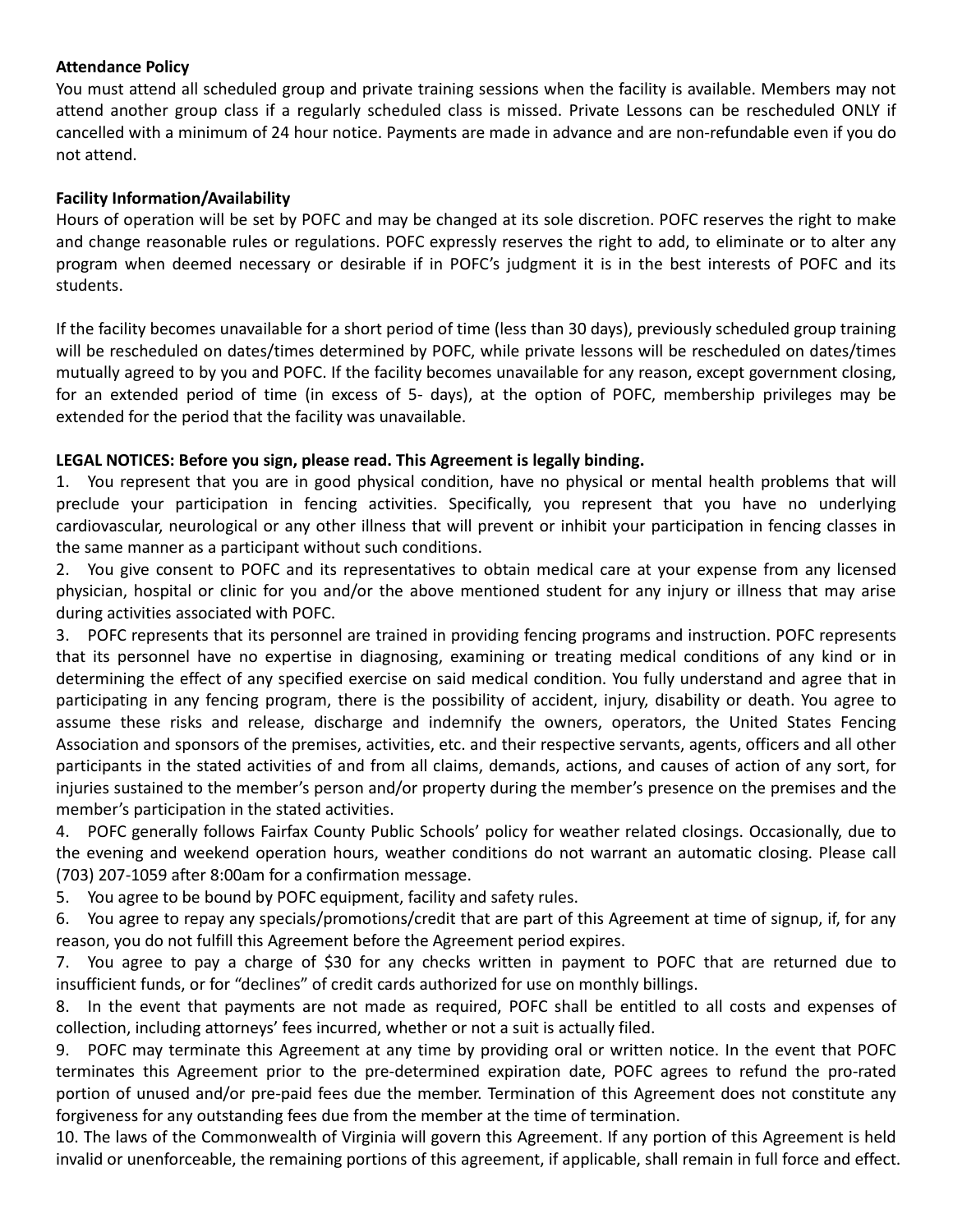### **Attendance Policy**

You must attend all scheduled group and private training sessions when the facility is available. Members may not attend another group class if a regularly scheduled class is missed. Private Lessons can be rescheduled ONLY if cancelled with a minimum of 24 hour notice. Payments are made in advance and are non-refundable even if you do not attend.

## **Facility Information/Availability**

Hours of operation will be set by POFC and may be changed at its sole discretion. POFC reserves the right to make and change reasonable rules or regulations. POFC expressly reserves the right to add, to eliminate or to alter any program when deemed necessary or desirable if in POFC's judgment it is in the best interests of POFC and its students.

If the facility becomes unavailable for a short period of time (less than 30 days), previously scheduled group training will be rescheduled on dates/times determined by POFC, while private lessons will be rescheduled on dates/times mutually agreed to by you and POFC. If the facility becomes unavailable for any reason, except government closing, for an extended period of time (in excess of 5- days), at the option of POFC, membership privileges may be extended for the period that the facility was unavailable.

### **LEGAL NOTICES: Before you sign, please read. This Agreement is legally binding.**

1. You represent that you are in good physical condition, have no physical or mental health problems that will preclude your participation in fencing activities. Specifically, you represent that you have no underlying cardiovascular, neurological or any other illness that will prevent or inhibit your participation in fencing classes in the same manner as a participant without such conditions.

2. You give consent to POFC and its representatives to obtain medical care at your expense from any licensed physician, hospital or clinic for you and/or the above mentioned student for any injury or illness that may arise during activities associated with POFC.

3. POFC represents that its personnel are trained in providing fencing programs and instruction. POFC represents that its personnel have no expertise in diagnosing, examining or treating medical conditions of any kind or in determining the effect of any specified exercise on said medical condition. You fully understand and agree that in participating in any fencing program, there is the possibility of accident, injury, disability or death. You agree to assume these risks and release, discharge and indemnify the owners, operators, the United States Fencing Association and sponsors of the premises, activities, etc. and their respective servants, agents, officers and all other participants in the stated activities of and from all claims, demands, actions, and causes of action of any sort, for injuries sustained to the member's person and/or property during the member's presence on the premises and the member's participation in the stated activities.

4. POFC generally follows Fairfax County Public Schools' policy for weather related closings. Occasionally, due to the evening and weekend operation hours, weather conditions do not warrant an automatic closing. Please call (703) 207-1059 after 8:00am for a confirmation message.

5. You agree to be bound by POFC equipment, facility and safety rules.

6. You agree to repay any specials/promotions/credit that are part of this Agreement at time of signup, if, for any reason, you do not fulfill this Agreement before the Agreement period expires.

7. You agree to pay a charge of \$30 for any checks written in payment to POFC that are returned due to insufficient funds, or for "declines" of credit cards authorized for use on monthly billings.

8. In the event that payments are not made as required, POFC shall be entitled to all costs and expenses of collection, including attorneys' fees incurred, whether or not a suit is actually filed.

9. POFC may terminate this Agreement at any time by providing oral or written notice. In the event that POFC terminates this Agreement prior to the pre-determined expiration date, POFC agrees to refund the pro-rated portion of unused and/or pre-paid fees due the member. Termination of this Agreement does not constitute any forgiveness for any outstanding fees due from the member at the time of termination.

10. The laws of the Commonwealth of Virginia will govern this Agreement. If any portion of this Agreement is held invalid or unenforceable, the remaining portions of this agreement, if applicable, shall remain in full force and effect.